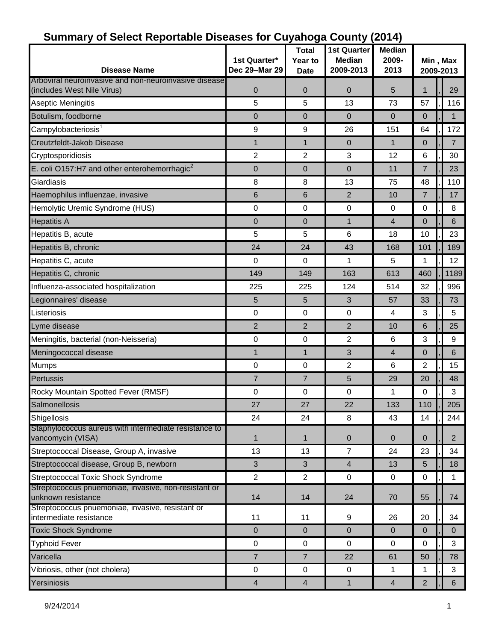| <b>Disease Name</b>                                                         | 1st Quarter*<br>Dec 29-Mar 29 | ---- 9-<br><b>Total</b><br>Year to<br><b>Date</b> | 1st Quarter<br><b>Median</b><br>2009-2013 | <b>Median</b><br>2009-<br>2013 | Min, Max<br>2009-2013 |                |  |
|-----------------------------------------------------------------------------|-------------------------------|---------------------------------------------------|-------------------------------------------|--------------------------------|-----------------------|----------------|--|
| Arboviral neuroinvasive and non-neuroinvasive disease                       |                               |                                                   |                                           |                                |                       |                |  |
| (includes West Nile Virus)                                                  | $\mathbf 0$                   | $\boldsymbol{0}$                                  | $\mathbf 0$                               | $\overline{5}$                 | 1                     | 29             |  |
| Aseptic Meningitis                                                          | 5                             | 5                                                 | 13                                        | 73                             | 57                    | 116            |  |
| Botulism, foodborne                                                         | $\mathbf 0$                   | $\mathbf 0$                                       | $\mathbf 0$                               | $\mathbf{0}$                   | $\mathbf{0}$          | $\mathbf{1}$   |  |
| Campylobacteriosis <sup>1</sup>                                             | 9                             | 9                                                 | 26                                        | 151                            | 64                    | 172            |  |
| Creutzfeldt-Jakob Disease                                                   | $\mathbf{1}$                  | 1                                                 | $\mathbf 0$                               | $\mathbf 1$                    | $\overline{0}$        | $\overline{7}$ |  |
| Cryptosporidiosis                                                           | $\overline{2}$                | $\overline{2}$                                    | 3                                         | 12                             | 6                     | 30             |  |
| E. coli O157:H7 and other enterohemorrhagic <sup>2</sup>                    | $\mathbf 0$                   | $\pmb{0}$                                         | $\pmb{0}$                                 | 11                             | $\overline{7}$        | 23             |  |
| Giardiasis                                                                  | 8                             | 8                                                 | 13                                        | 75                             | 48                    | 110            |  |
| Haemophilus influenzae, invasive                                            | 6                             | $\,6\,$                                           | $\overline{2}$                            | 10                             | $\overline{7}$        | 17             |  |
| Hemolytic Uremic Syndrome (HUS)                                             | $\mathbf 0$                   | $\mathbf 0$                                       | $\mathbf 0$                               | $\mathbf 0$                    | 0                     | 8              |  |
| <b>Hepatitis A</b>                                                          | $\mathbf 0$                   | $\boldsymbol{0}$                                  | $\mathbf 1$                               | $\overline{4}$                 | $\mathbf 0$           | 6              |  |
| Hepatitis B, acute                                                          | 5                             | 5                                                 | 6                                         | 18                             | 10                    | 23             |  |
| Hepatitis B, chronic                                                        | 24                            | 24                                                | 43                                        | 168                            | 101                   | 189            |  |
| Hepatitis C, acute                                                          | 0                             | 0                                                 | 1                                         | 5                              | 1                     | 12             |  |
| Hepatitis C, chronic                                                        | 149                           | 149                                               | 163                                       | 613                            | 460                   | 1189           |  |
| Influenza-associated hospitalization                                        | 225                           | 225                                               | 124                                       | 514                            | 32                    | 996            |  |
| Legionnaires' disease                                                       | 5                             | 5                                                 | $\mathbf{3}$                              | 57                             | 33                    | 73             |  |
| Listeriosis                                                                 | $\pmb{0}$                     | $\pmb{0}$                                         | $\pmb{0}$                                 | 4                              | 3                     | 5              |  |
| Lyme disease                                                                | $\overline{2}$                | $\overline{2}$                                    | $\overline{2}$                            | 10                             | 6                     | 25             |  |
| Meningitis, bacterial (non-Neisseria)                                       | $\mathbf 0$                   | $\pmb{0}$                                         | $\overline{2}$                            | 6                              | 3                     | 9              |  |
| Meningococcal disease                                                       | $\mathbf{1}$                  | 1                                                 | $\mathbf{3}$                              | 4                              | $\overline{0}$        | 6              |  |
| <b>Mumps</b>                                                                | $\mathbf 0$                   | $\pmb{0}$                                         | $\overline{2}$                            | 6                              | $\overline{2}$        | 15             |  |
| Pertussis                                                                   | $\overline{7}$                | $\overline{7}$                                    | $\overline{5}$                            | 29                             | 20                    | 48             |  |
| Rocky Mountain Spotted Fever (RMSF)                                         | 0                             | 0                                                 | $\pmb{0}$                                 | 1                              | 0                     | 3              |  |
| Salmonellosis                                                               | 27                            | 27                                                | 22                                        | 133                            | 110                   | П<br>205       |  |
| Shigellosis                                                                 | 24                            | 24                                                | 8                                         | 43                             | 14                    | 244            |  |
| Staphylococcus aureus with intermediate resistance to<br>vancomycin (VISA)  | $\mathbf{1}$                  | $\mathbf{1}$                                      | $\pmb{0}$                                 | $\mathbf{0}$                   | $\overline{0}$        | $\overline{2}$ |  |
| Streptococcal Disease, Group A, invasive                                    | 13                            | 13                                                | $\overline{7}$                            | 24                             | 23                    | 34             |  |
| Streptococcal disease, Group B, newborn                                     | $\mathfrak{B}$                | $\sqrt{3}$                                        | $\overline{4}$                            | 13                             | $5\overline{)}$       | 18             |  |
| Streptococcal Toxic Shock Syndrome                                          | $\boldsymbol{2}$              | $\overline{2}$                                    | $\mathbf 0$                               | 0                              | 0                     | 1              |  |
| Streptococcus pnuemoniae, invasive, non-resistant or<br>unknown resistance  | 14                            | 14                                                | 24                                        | 70                             | 55                    | 74             |  |
| Streptococcus pnuemoniae, invasive, resistant or<br>intermediate resistance | 11                            | 11                                                | 9                                         | 26                             | 20                    | 34             |  |
| <b>Toxic Shock Syndrome</b>                                                 | $\mathbf 0$                   | $\pmb{0}$                                         | $\mathbf 0$                               | $\mathbf{0}$                   | $\overline{0}$        | $\overline{0}$ |  |
| <b>Typhoid Fever</b>                                                        | $\mathbf 0$                   | $\pmb{0}$                                         | $\mathbf 0$                               | 0                              | 0                     | 3              |  |
| Varicella                                                                   | $\overline{7}$                | 7                                                 | 22                                        | 61                             | 50                    | 78             |  |
| Vibriosis, other (not cholera)                                              | 0                             | $\pmb{0}$                                         | $\mathbf 0$                               | $\mathbf 1$                    | 1                     | 3              |  |
| Yersiniosis                                                                 | $\overline{4}$                | $\overline{4}$                                    | $\mathbf{1}$                              | $\overline{4}$                 | $\overline{2}$        | 6              |  |

#### **Summary of Select Reportable Diseases for Cuyahoga County (2014)**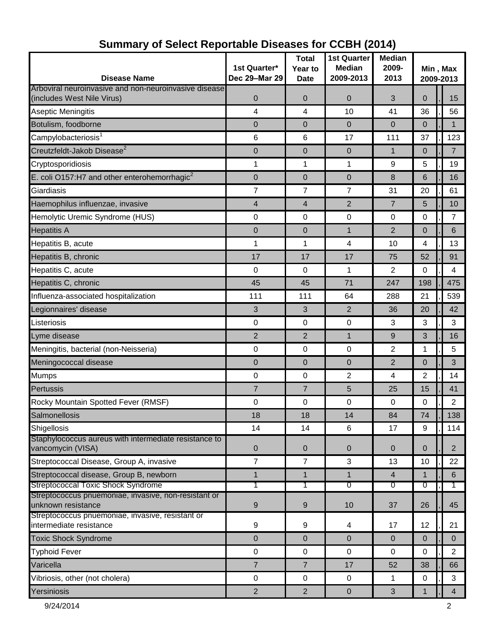| <b>Disease Name</b>                                                                 | 1st Quarter*<br>Dec 29-Mar 29 | <b>Total</b><br>Year to<br><b>Date</b> | <b>1st Quarter</b><br><b>Median</b><br>2009-2013 | <b>Median</b><br>2009-<br>2013 | Min, Max<br>2009-2013 |                |  |
|-------------------------------------------------------------------------------------|-------------------------------|----------------------------------------|--------------------------------------------------|--------------------------------|-----------------------|----------------|--|
| Arboviral neuroinvasive and non-neuroinvasive disease<br>(includes West Nile Virus) | 0                             | $\mathbf 0$                            | $\overline{0}$                                   | 3                              | $\overline{0}$        | 15             |  |
| Aseptic Meningitis                                                                  | 4                             | 4                                      | 10                                               | 41                             | 36                    | 56             |  |
| Botulism, foodborne                                                                 | $\mathbf 0$                   | $\mathbf 0$                            | $\mathbf{0}$                                     | $\overline{0}$                 | $\overline{0}$        | 1              |  |
| Campylobacteriosis <sup>1</sup>                                                     | 6                             | 6                                      | 17                                               | 111                            | 37                    | 123            |  |
| Creutzfeldt-Jakob Disease <sup>2</sup>                                              | $\boldsymbol{0}$              | 0                                      | $\mathbf 0$                                      | 1                              | $\mathbf 0$           | $\overline{7}$ |  |
| Cryptosporidiosis                                                                   | 1                             | 1                                      | 1                                                | 9                              | 5                     | 19             |  |
| E. coli O157:H7 and other enterohemorrhagic <sup>2</sup>                            | $\pmb{0}$                     | 0                                      | 0                                                | 8                              | 6                     | 16             |  |
| Giardiasis                                                                          | 7                             | 7                                      | $\overline{7}$                                   | 31                             | 20                    | 61             |  |
| Haemophilus influenzae, invasive                                                    | 4                             | $\overline{4}$                         | $\overline{2}$                                   | $\overline{7}$                 | 5                     | 10             |  |
| Hemolytic Uremic Syndrome (HUS)                                                     | $\mathbf 0$                   | $\mathbf 0$                            | $\pmb{0}$                                        | 0                              | $\mathbf 0$           | 7              |  |
| <b>Hepatitis A</b>                                                                  | 0                             | 0                                      | $\mathbf{1}$                                     | $\overline{2}$                 | $\mathbf 0$           | 6              |  |
| Hepatitis B, acute                                                                  | 1                             | 1                                      | 4                                                | 10                             | 4                     | 13             |  |
| Hepatitis B, chronic                                                                | 17                            | 17                                     | 17                                               | 75                             | 52                    | 91             |  |
| Hepatitis C, acute                                                                  | 0                             | 0                                      | 1                                                | $\overline{2}$                 | 0                     | 4              |  |
| Hepatitis C, chronic                                                                | 45                            | 45                                     | 71                                               | 247                            | 198                   | 475            |  |
| Influenza-associated hospitalization                                                | 111                           | 111                                    | 64                                               | 288                            | 21                    | 539            |  |
| Legionnaires' disease                                                               | 3                             | 3                                      | 2                                                | 36                             | 20                    | 42             |  |
| Listeriosis                                                                         | 0                             | 0                                      | 0                                                | 3                              | 3                     | 3              |  |
| Lyme disease                                                                        | $\overline{2}$                | $\overline{2}$                         | $\mathbf{1}$                                     | 9                              | 3                     | 16             |  |
| Meningitis, bacterial (non-Neisseria)                                               | 0                             | $\mathbf 0$                            | 0                                                | $\overline{2}$                 | 1                     | 5              |  |
| Meningococcal disease                                                               | $\mathbf 0$                   | 0                                      | 0                                                | $\overline{2}$                 | $\overline{0}$        | 3              |  |
| Mumps                                                                               | 0                             | 0                                      | $\overline{2}$                                   | 4                              | $\overline{2}$        | 14             |  |
| Pertussis                                                                           | $\overline{7}$                | $\overline{7}$                         | 5                                                | 25                             | 15                    | 41             |  |
| Rocky Mountain Spotted Fever (RMSF)                                                 | 0                             | 0                                      | 0                                                | 0                              | 0                     | 2              |  |
| Salmonellosis                                                                       | 18                            | 18                                     | 14                                               | 84                             | 74                    | 138            |  |
| Shigellosis                                                                         | 14                            | 14                                     | $6\phantom{1}$                                   | 17                             | 9                     | 114            |  |
| Staphylococcus aureus with intermediate resistance to<br>vancomycin (VISA)          | $\mathbf 0$                   | 0                                      | 0                                                | $\mathbf{0}$                   | $\mathbf 0$           | $\overline{2}$ |  |
| Streptococcal Disease, Group A, invasive                                            | $\overline{7}$                | $\overline{7}$                         | 3                                                | 13                             | 10                    | 22             |  |
| Streptococcal disease, Group B, newborn                                             | $\mathbf{1}$                  | $\mathbf{1}$                           | $\mathbf{1}$                                     | 4                              | $\mathbf 1$           | 6              |  |
| Streptococcal Toxic Shock Syndrome                                                  | 1                             | 1                                      | 0                                                | 0                              | ত                     |                |  |
| Streptococcus pnuemoniae, invasive, non-resistant or<br>unknown resistance          | $\boldsymbol{9}$              | 9                                      | 10                                               | 37                             | 26                    | 45             |  |
| Streptococcus pnuemoniae, invasive, resistant or<br>intermediate resistance         | $\boldsymbol{9}$              | 9                                      | 4                                                | 17                             | 12                    | 21             |  |
| <b>Toxic Shock Syndrome</b>                                                         | $\mathbf 0$                   | 0                                      | $\mathbf 0$                                      | $\mathbf 0$                    | $\mathbf 0$           | $\pmb{0}$      |  |
| <b>Typhoid Fever</b>                                                                | $\pmb{0}$                     | 0                                      | $\mathbf 0$                                      | 0                              | 0                     | $\overline{2}$ |  |
| Varicella                                                                           | $\overline{7}$                | $\overline{7}$                         | 17                                               | 52                             | 38                    | 66             |  |
| Vibriosis, other (not cholera)                                                      | 0                             | 0                                      | $\mathbf 0$                                      | $\mathbf 1$                    | $\mathbf 0$           | 3              |  |
| Yersiniosis                                                                         | $\overline{2}$                | $\overline{2}$                         | $\mathbf 0$                                      | 3                              | 1                     | 4              |  |

## **Summary of Select Reportable Diseases for CCBH (2014)**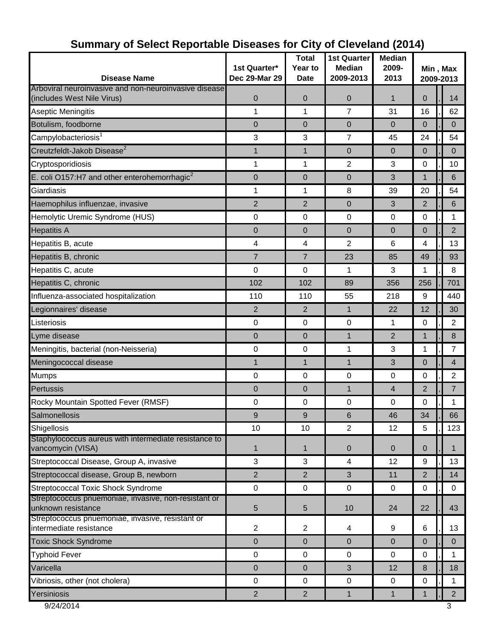| <b>Disease Name</b>                                                                 | 1st Quarter*<br>Dec 29-Mar 29 | <b>Total</b><br>Year to<br><b>Date</b> | <b>1st Quarter</b><br><b>Median</b><br>2009-2013 | <b>Median</b><br>2009-<br>2013 | Min, Max<br>2009-2013 |  |                |
|-------------------------------------------------------------------------------------|-------------------------------|----------------------------------------|--------------------------------------------------|--------------------------------|-----------------------|--|----------------|
| Arboviral neuroinvasive and non-neuroinvasive disease<br>(includes West Nile Virus) | 0                             | $\mathbf 0$                            | 0                                                | $\mathbf{1}$                   | $\mathbf{0}$          |  | 14             |
| Aseptic Meningitis                                                                  | 1                             | 1                                      | $\overline{7}$                                   | 31                             | 16                    |  | 62             |
| Botulism, foodborne                                                                 | 0                             | 0                                      | $\overline{0}$                                   | $\mathbf{0}$                   | 0                     |  | $\mathbf{0}$   |
| Campylobacteriosis <sup>1</sup>                                                     | 3                             | 3                                      | $\overline{7}$                                   | 45                             | 24                    |  | 54             |
| Creutzfeldt-Jakob Disease <sup>2</sup>                                              | $\mathbf{1}$                  | $\mathbf{1}$                           | $\overline{0}$                                   | $\overline{0}$                 | $\mathbf{0}$          |  | $\mathbf{0}$   |
| Cryptosporidiosis                                                                   | 1                             | 1                                      | 2                                                | 3                              | 0                     |  | 10             |
| E. coli O157:H7 and other enterohemorrhagic <sup>2</sup>                            | 0                             | 0                                      | $\overline{0}$                                   | 3                              | 1                     |  | 6              |
| Giardiasis                                                                          | 1                             | 1                                      | 8                                                | 39                             | 20                    |  | 54             |
| Haemophilus influenzae, invasive                                                    | $\overline{2}$                | $\overline{2}$                         | $\mathbf 0$                                      | 3                              | $\overline{2}$        |  | 6              |
| Hemolytic Uremic Syndrome (HUS)                                                     | 0                             | $\mathbf 0$                            | $\pmb{0}$                                        | $\mathbf 0$                    | 0                     |  | 1              |
| <b>Hepatitis A</b>                                                                  | 0                             | $\mathbf 0$                            | 0                                                | $\Omega$                       | $\mathbf{0}$          |  | $\overline{2}$ |
| Hepatitis B, acute                                                                  | 4                             | 4                                      | 2                                                | 6                              | 4                     |  | 13             |
| Hepatitis B, chronic                                                                | $\overline{7}$                | $\overline{7}$                         | 23                                               | 85                             | 49                    |  | 93             |
| Hepatitis C, acute                                                                  | 0                             | 0                                      | 1                                                | 3                              | 1                     |  | 8              |
| Hepatitis C, chronic                                                                | 102                           | 102                                    | 89                                               | 356                            | 256                   |  | 701            |
| Influenza-associated hospitalization                                                | 110                           | 110                                    | 55                                               | 218                            | 9                     |  | 440            |
| Legionnaires' disease                                                               | $\overline{2}$                | 2                                      | $\mathbf{1}$                                     | 22                             | 12                    |  | 30             |
| Listeriosis                                                                         | 0                             | $\boldsymbol{0}$                       | $\mathbf 0$                                      | 1                              | 0                     |  | $\overline{2}$ |
| Lyme disease                                                                        | 0                             | $\mathbf 0$                            | $\mathbf{1}$                                     | $\overline{2}$                 | 1                     |  | 8              |
| Meningitis, bacterial (non-Neisseria)                                               | 0                             | 0                                      | $\mathbf{1}$                                     | 3                              | 1                     |  | $\overline{7}$ |
| Meningococcal disease                                                               | $\mathbf{1}$                  | 1                                      | $\mathbf{1}$                                     | 3                              | 0                     |  | $\overline{4}$ |
| Mumps                                                                               | 0                             | 0                                      | $\mathbf 0$                                      | $\boldsymbol{0}$               | 0                     |  | $\overline{2}$ |
| Pertussis                                                                           | 0                             | $\mathbf 0$                            | $\mathbf{1}$                                     | 4                              | $\overline{2}$        |  | $\overline{7}$ |
| Rocky Mountain Spotted Fever (RMSF)                                                 | $\pmb{0}$                     | 0                                      | $\pmb{0}$                                        | 0                              | 0                     |  | 1              |
| Salmonellosis                                                                       | 9                             | 9                                      | 6                                                | 46                             | 34                    |  | 66             |
| Shigellosis                                                                         | 10                            | 10                                     | $\overline{2}$                                   | 12                             | 5                     |  | 123            |
| Staphylococcus aureus with intermediate resistance to<br>vancomycin (VISA)          | 1                             | 1                                      | $\overline{0}$                                   | $\overline{0}$                 | $\mathbf{0}$          |  | $\mathbf{1}$   |
| Streptococcal Disease, Group A, invasive                                            | 3                             | $\mathbf{3}$                           | $\overline{\mathbf{4}}$                          | 12                             | $\boldsymbol{9}$      |  | 13             |
| Streptococcal disease, Group B, newborn                                             | $\overline{2}$                | $\overline{2}$                         | 3                                                | 11                             | 2                     |  | 14             |
| Streptococcal Toxic Shock Syndrome                                                  | $\mathbf 0$                   | $\pmb{0}$                              | $\mathbf 0$                                      | $\mathbf 0$                    | 0                     |  | $\mathbf 0$    |
| Streptococcus pnuemoniae, invasive, non-resistant or<br>unknown resistance          | 5                             | 5                                      | 10                                               | 24                             | 22                    |  | 43             |
| Streptococcus pnuemoniae, invasive, resistant or<br>intermediate resistance         | $\overline{2}$                | $\overline{2}$                         | 4                                                | 9                              | 6                     |  | 13             |
| <b>Toxic Shock Syndrome</b>                                                         | $\mathbf{0}$                  | 0                                      | $\overline{0}$                                   | $\mathbf 0$                    | 0                     |  | $\mathbf{0}$   |
| <b>Typhoid Fever</b>                                                                | $\mathsf 0$                   | 0                                      | $\mathbf 0$                                      | 0                              | 0                     |  | $\mathbf{1}$   |
| Varicella                                                                           | 0                             | $\mathbf 0$                            | 3                                                | 12                             | 8                     |  | 18             |
| Vibriosis, other (not cholera)                                                      | $\mathbf 0$                   | $\mathbf 0$                            | $\mathbf 0$                                      | 0                              | $\pmb{0}$             |  | $\mathbf{1}$   |
| Yersiniosis                                                                         | $\overline{2}$                | $\overline{2}$                         | 1                                                | $\mathbf{1}$                   | 1                     |  | $2^{\circ}$    |
| 9/24/2014                                                                           |                               |                                        |                                                  |                                |                       |  | 3              |

# **Summary of Select Reportable Diseases for City of Cleveland (2014)**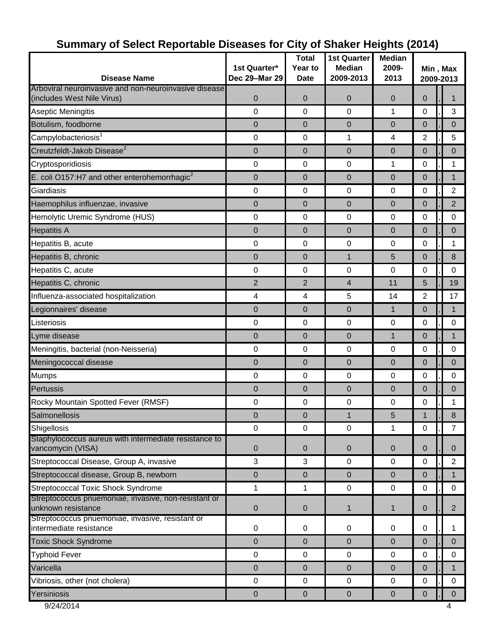| Arboviral neuroinvasive and non-neuroinvasive disease<br>$\boldsymbol{0}$<br>$\mathbf 0$<br>(includes West Nile Virus)<br>$\mathbf 0$<br>$\mathbf 0$<br>$\mathbf 0$<br>3<br>0<br>$\Omega$<br>$\mathbf 0$<br>1<br>Aseptic Meningitis<br>0<br>Botulism, foodborne<br>0<br>0<br>0<br>$\boldsymbol{0}$<br>$\mathbf{0}$<br>$\mathbf{0}$<br>Campylobacteriosis <sup>1</sup><br>0<br>2<br>5<br>0<br>1<br>4<br>Creutzfeldt-Jakob Disease <sup>2</sup><br>0<br>$\mathbf 0$<br>$\mathbf 0$<br>$\overline{0}$<br>$\mathbf{0}$<br>$\mathbf{0}$<br>Cryptosporidiosis<br>0<br>0<br>$\mathbf 0$<br>0<br>1<br>1<br>E. coli O157:H7 and other enterohemorrhagic <sup>2</sup><br>0<br>$\mathbf 0$<br>0<br>$\mathbf 0$<br>$\mathbf{1}$<br>0<br>0<br>0<br>$\mathbf 0$<br>$\overline{2}$<br>Giardiasis<br>0<br>$\mathbf 0$<br>$\overline{2}$<br>Haemophilus influenzae, invasive<br>$\mathbf 0$<br>$\mathbf 0$<br>$\mathbf 0$<br>0<br>$\overline{0}$<br>0<br>$\pmb{0}$<br>Hemolytic Uremic Syndrome (HUS)<br>$\mathbf 0$<br>$\boldsymbol{0}$<br>0<br>0<br><b>Hepatitis A</b><br>0<br>$\mathbf 0$<br>$\mathbf 0$<br>$\mathbf 0$<br>$\mathbf 0$<br>0<br>0<br>$\mathbf 0$<br>$\mathbf 0$<br>0<br>$\mathbf{1}$<br>Hepatitis B, acute<br>$\mathbf 0$<br>Hepatitis B, chronic<br>8<br>0<br>$\mathbf 0$<br>$\mathbf{1}$<br>5<br>$\mathbf{0}$<br>Hepatitis C, acute<br>0<br>0<br>0<br>$\boldsymbol{0}$<br>0<br>0<br>$\overline{2}$<br>$\overline{2}$<br>4<br>Hepatitis C, chronic<br>11<br>5<br>5<br>2<br>Influenza-associated hospitalization<br>4<br>4<br>14<br>$\mathbf 0$<br>Legionnaires' disease<br>$\mathbf 0$<br>$\mathbf 0$<br>$\overline{0}$<br>$\mathbf{1}$<br>$\mathbf 1$<br>$\mathbf 0$<br>Listeriosis<br>0<br>0<br>0<br>0<br>0<br>0<br>$\mathbf 0$<br>$\mathbf 0$<br>1<br>$\mathbf{0}$<br>$\mathbf{1}$<br>Lyme disease<br>Meningitis, bacterial (non-Neisseria)<br>0<br>$\mathbf 0$<br>$\mathbf 0$<br>$\mathbf 0$<br>$\mathbf 0$<br>$\mathbf 0$<br>Meningococcal disease<br>0<br>0<br>0<br>$\mathbf 0$<br>$\mathbf 0$<br>0<br>0<br>$\mathbf 0$<br>0<br>0<br>0<br><b>Mumps</b><br>0<br>Pertussis<br>$\boldsymbol{0}$<br>$\mathbf 0$<br>$\mathbf 0$<br>0<br>$\mathbf{0}$<br>$\mathbf 0$<br>Rocky Mountain Spotted Fever (RMSF)<br>0<br>0<br>0<br>0<br>0<br>1<br>Salmonellosis<br>0<br>0<br>1<br>5<br>1<br>8<br>$\mathbf 0$<br>$\mathbf 0$<br>$\mathbf 0$<br>1<br>Shigellosis<br>0<br>Staphylococcus aureus with intermediate resistance to<br>vancomycin (VISA)<br>$\mathbf 0$<br>$\mathbf 0$<br>$\mathbf 0$<br>$\mathbf 0$<br>$\mathbf 0$<br>$\mathbf{0}$<br>3<br>Streptococcal Disease, Group A, invasive<br>3<br>$\mathbf 0$<br>$\mathbf 0$<br>$\mathbf 0$<br>Streptococcal disease, Group B, newborn<br>0<br>$\overline{0}$<br>$\mathbf 0$<br>$\mathbf 0$<br>$\mathbf{0}$<br>1<br>Streptococcal Toxic Shock Syndrome<br>0<br>$\mathbf 0$<br>1<br>$\boldsymbol{0}$<br>0<br>1<br>Streptococcus pnuemoniae, invasive, non-resistant or<br>unknown resistance<br>$\pmb{0}$<br>0<br>$\mathbf{0}$<br>1<br>$\mathbf 1$<br>Streptococcus pnuemoniae, invasive, resistant or<br>intermediate resistance<br>$\mathsf 0$<br>0<br>$\mathbf 0$<br>0<br>1<br>$\mathbf 0$<br><b>Toxic Shock Syndrome</b><br>0<br>0<br>$\overline{0}$<br>$\mathbf{0}$<br>$\mathbf 0$<br>0<br><b>Typhoid Fever</b><br>0<br>$\mathbf 0$<br>0<br>$\mathbf 0$<br>0<br>0<br>Varicella<br>0<br>$\mathbf 0$<br>$\mathbf{0}$<br>$\mathbf{0}$<br>$\mathbf{0}$<br>$\mathbf{1}$<br>Vibriosis, other (not cholera)<br>$\mathbf 0$<br>$\mathbf 0$<br>$\mathbf 0$<br>0<br>0<br>0 | <b>Disease Name</b> | 1st Quarter*<br>Dec 29-Mar 29 | <b>Total</b><br>Year to<br><b>Date</b> | <b>1st Quarter</b><br><b>Median</b><br>2009-2013 | <b>Median</b><br>2009-<br>2013 | Min, Max<br>2009-2013 |  |                |
|-----------------------------------------------------------------------------------------------------------------------------------------------------------------------------------------------------------------------------------------------------------------------------------------------------------------------------------------------------------------------------------------------------------------------------------------------------------------------------------------------------------------------------------------------------------------------------------------------------------------------------------------------------------------------------------------------------------------------------------------------------------------------------------------------------------------------------------------------------------------------------------------------------------------------------------------------------------------------------------------------------------------------------------------------------------------------------------------------------------------------------------------------------------------------------------------------------------------------------------------------------------------------------------------------------------------------------------------------------------------------------------------------------------------------------------------------------------------------------------------------------------------------------------------------------------------------------------------------------------------------------------------------------------------------------------------------------------------------------------------------------------------------------------------------------------------------------------------------------------------------------------------------------------------------------------------------------------------------------------------------------------------------------------------------------------------------------------------------------------------------------------------------------------------------------------------------------------------------------------------------------------------------------------------------------------------------------------------------------------------------------------------------------------------------------------------------------------------------------------------------------------------------------------------------------------------------------------------------------------------------------------------------------------------------------------------------------------------------------------------------------------------------------------------------------------------------------------------------------------------------------------------------------------------------------------------------------------------------------------------------------------------------------------------------------------------------------------------------------------------------------------------------------------------------------------------------------------------------------------------------------------------------------------------------------------------------------------------------------------------------------------------------------------------------------------------------------------------------------------------------------------------------|---------------------|-------------------------------|----------------------------------------|--------------------------------------------------|--------------------------------|-----------------------|--|----------------|
|                                                                                                                                                                                                                                                                                                                                                                                                                                                                                                                                                                                                                                                                                                                                                                                                                                                                                                                                                                                                                                                                                                                                                                                                                                                                                                                                                                                                                                                                                                                                                                                                                                                                                                                                                                                                                                                                                                                                                                                                                                                                                                                                                                                                                                                                                                                                                                                                                                                                                                                                                                                                                                                                                                                                                                                                                                                                                                                                                                                                                                                                                                                                                                                                                                                                                                                                                                                                                                                                                                                       |                     |                               |                                        |                                                  |                                |                       |  |                |
|                                                                                                                                                                                                                                                                                                                                                                                                                                                                                                                                                                                                                                                                                                                                                                                                                                                                                                                                                                                                                                                                                                                                                                                                                                                                                                                                                                                                                                                                                                                                                                                                                                                                                                                                                                                                                                                                                                                                                                                                                                                                                                                                                                                                                                                                                                                                                                                                                                                                                                                                                                                                                                                                                                                                                                                                                                                                                                                                                                                                                                                                                                                                                                                                                                                                                                                                                                                                                                                                                                                       |                     |                               |                                        |                                                  |                                |                       |  |                |
|                                                                                                                                                                                                                                                                                                                                                                                                                                                                                                                                                                                                                                                                                                                                                                                                                                                                                                                                                                                                                                                                                                                                                                                                                                                                                                                                                                                                                                                                                                                                                                                                                                                                                                                                                                                                                                                                                                                                                                                                                                                                                                                                                                                                                                                                                                                                                                                                                                                                                                                                                                                                                                                                                                                                                                                                                                                                                                                                                                                                                                                                                                                                                                                                                                                                                                                                                                                                                                                                                                                       |                     |                               |                                        |                                                  |                                |                       |  |                |
|                                                                                                                                                                                                                                                                                                                                                                                                                                                                                                                                                                                                                                                                                                                                                                                                                                                                                                                                                                                                                                                                                                                                                                                                                                                                                                                                                                                                                                                                                                                                                                                                                                                                                                                                                                                                                                                                                                                                                                                                                                                                                                                                                                                                                                                                                                                                                                                                                                                                                                                                                                                                                                                                                                                                                                                                                                                                                                                                                                                                                                                                                                                                                                                                                                                                                                                                                                                                                                                                                                                       |                     |                               |                                        |                                                  |                                |                       |  |                |
|                                                                                                                                                                                                                                                                                                                                                                                                                                                                                                                                                                                                                                                                                                                                                                                                                                                                                                                                                                                                                                                                                                                                                                                                                                                                                                                                                                                                                                                                                                                                                                                                                                                                                                                                                                                                                                                                                                                                                                                                                                                                                                                                                                                                                                                                                                                                                                                                                                                                                                                                                                                                                                                                                                                                                                                                                                                                                                                                                                                                                                                                                                                                                                                                                                                                                                                                                                                                                                                                                                                       |                     |                               |                                        |                                                  |                                |                       |  |                |
|                                                                                                                                                                                                                                                                                                                                                                                                                                                                                                                                                                                                                                                                                                                                                                                                                                                                                                                                                                                                                                                                                                                                                                                                                                                                                                                                                                                                                                                                                                                                                                                                                                                                                                                                                                                                                                                                                                                                                                                                                                                                                                                                                                                                                                                                                                                                                                                                                                                                                                                                                                                                                                                                                                                                                                                                                                                                                                                                                                                                                                                                                                                                                                                                                                                                                                                                                                                                                                                                                                                       |                     |                               |                                        |                                                  |                                |                       |  |                |
|                                                                                                                                                                                                                                                                                                                                                                                                                                                                                                                                                                                                                                                                                                                                                                                                                                                                                                                                                                                                                                                                                                                                                                                                                                                                                                                                                                                                                                                                                                                                                                                                                                                                                                                                                                                                                                                                                                                                                                                                                                                                                                                                                                                                                                                                                                                                                                                                                                                                                                                                                                                                                                                                                                                                                                                                                                                                                                                                                                                                                                                                                                                                                                                                                                                                                                                                                                                                                                                                                                                       |                     |                               |                                        |                                                  |                                |                       |  |                |
|                                                                                                                                                                                                                                                                                                                                                                                                                                                                                                                                                                                                                                                                                                                                                                                                                                                                                                                                                                                                                                                                                                                                                                                                                                                                                                                                                                                                                                                                                                                                                                                                                                                                                                                                                                                                                                                                                                                                                                                                                                                                                                                                                                                                                                                                                                                                                                                                                                                                                                                                                                                                                                                                                                                                                                                                                                                                                                                                                                                                                                                                                                                                                                                                                                                                                                                                                                                                                                                                                                                       |                     |                               |                                        |                                                  |                                |                       |  |                |
|                                                                                                                                                                                                                                                                                                                                                                                                                                                                                                                                                                                                                                                                                                                                                                                                                                                                                                                                                                                                                                                                                                                                                                                                                                                                                                                                                                                                                                                                                                                                                                                                                                                                                                                                                                                                                                                                                                                                                                                                                                                                                                                                                                                                                                                                                                                                                                                                                                                                                                                                                                                                                                                                                                                                                                                                                                                                                                                                                                                                                                                                                                                                                                                                                                                                                                                                                                                                                                                                                                                       |                     |                               |                                        |                                                  |                                |                       |  |                |
|                                                                                                                                                                                                                                                                                                                                                                                                                                                                                                                                                                                                                                                                                                                                                                                                                                                                                                                                                                                                                                                                                                                                                                                                                                                                                                                                                                                                                                                                                                                                                                                                                                                                                                                                                                                                                                                                                                                                                                                                                                                                                                                                                                                                                                                                                                                                                                                                                                                                                                                                                                                                                                                                                                                                                                                                                                                                                                                                                                                                                                                                                                                                                                                                                                                                                                                                                                                                                                                                                                                       |                     |                               |                                        |                                                  |                                |                       |  |                |
|                                                                                                                                                                                                                                                                                                                                                                                                                                                                                                                                                                                                                                                                                                                                                                                                                                                                                                                                                                                                                                                                                                                                                                                                                                                                                                                                                                                                                                                                                                                                                                                                                                                                                                                                                                                                                                                                                                                                                                                                                                                                                                                                                                                                                                                                                                                                                                                                                                                                                                                                                                                                                                                                                                                                                                                                                                                                                                                                                                                                                                                                                                                                                                                                                                                                                                                                                                                                                                                                                                                       |                     |                               |                                        |                                                  |                                |                       |  |                |
|                                                                                                                                                                                                                                                                                                                                                                                                                                                                                                                                                                                                                                                                                                                                                                                                                                                                                                                                                                                                                                                                                                                                                                                                                                                                                                                                                                                                                                                                                                                                                                                                                                                                                                                                                                                                                                                                                                                                                                                                                                                                                                                                                                                                                                                                                                                                                                                                                                                                                                                                                                                                                                                                                                                                                                                                                                                                                                                                                                                                                                                                                                                                                                                                                                                                                                                                                                                                                                                                                                                       |                     |                               |                                        |                                                  |                                |                       |  |                |
|                                                                                                                                                                                                                                                                                                                                                                                                                                                                                                                                                                                                                                                                                                                                                                                                                                                                                                                                                                                                                                                                                                                                                                                                                                                                                                                                                                                                                                                                                                                                                                                                                                                                                                                                                                                                                                                                                                                                                                                                                                                                                                                                                                                                                                                                                                                                                                                                                                                                                                                                                                                                                                                                                                                                                                                                                                                                                                                                                                                                                                                                                                                                                                                                                                                                                                                                                                                                                                                                                                                       |                     |                               |                                        |                                                  |                                |                       |  |                |
|                                                                                                                                                                                                                                                                                                                                                                                                                                                                                                                                                                                                                                                                                                                                                                                                                                                                                                                                                                                                                                                                                                                                                                                                                                                                                                                                                                                                                                                                                                                                                                                                                                                                                                                                                                                                                                                                                                                                                                                                                                                                                                                                                                                                                                                                                                                                                                                                                                                                                                                                                                                                                                                                                                                                                                                                                                                                                                                                                                                                                                                                                                                                                                                                                                                                                                                                                                                                                                                                                                                       |                     |                               |                                        |                                                  |                                |                       |  |                |
|                                                                                                                                                                                                                                                                                                                                                                                                                                                                                                                                                                                                                                                                                                                                                                                                                                                                                                                                                                                                                                                                                                                                                                                                                                                                                                                                                                                                                                                                                                                                                                                                                                                                                                                                                                                                                                                                                                                                                                                                                                                                                                                                                                                                                                                                                                                                                                                                                                                                                                                                                                                                                                                                                                                                                                                                                                                                                                                                                                                                                                                                                                                                                                                                                                                                                                                                                                                                                                                                                                                       |                     |                               |                                        |                                                  |                                |                       |  | 19             |
|                                                                                                                                                                                                                                                                                                                                                                                                                                                                                                                                                                                                                                                                                                                                                                                                                                                                                                                                                                                                                                                                                                                                                                                                                                                                                                                                                                                                                                                                                                                                                                                                                                                                                                                                                                                                                                                                                                                                                                                                                                                                                                                                                                                                                                                                                                                                                                                                                                                                                                                                                                                                                                                                                                                                                                                                                                                                                                                                                                                                                                                                                                                                                                                                                                                                                                                                                                                                                                                                                                                       |                     |                               |                                        |                                                  |                                |                       |  | 17             |
|                                                                                                                                                                                                                                                                                                                                                                                                                                                                                                                                                                                                                                                                                                                                                                                                                                                                                                                                                                                                                                                                                                                                                                                                                                                                                                                                                                                                                                                                                                                                                                                                                                                                                                                                                                                                                                                                                                                                                                                                                                                                                                                                                                                                                                                                                                                                                                                                                                                                                                                                                                                                                                                                                                                                                                                                                                                                                                                                                                                                                                                                                                                                                                                                                                                                                                                                                                                                                                                                                                                       |                     |                               |                                        |                                                  |                                |                       |  |                |
|                                                                                                                                                                                                                                                                                                                                                                                                                                                                                                                                                                                                                                                                                                                                                                                                                                                                                                                                                                                                                                                                                                                                                                                                                                                                                                                                                                                                                                                                                                                                                                                                                                                                                                                                                                                                                                                                                                                                                                                                                                                                                                                                                                                                                                                                                                                                                                                                                                                                                                                                                                                                                                                                                                                                                                                                                                                                                                                                                                                                                                                                                                                                                                                                                                                                                                                                                                                                                                                                                                                       |                     |                               |                                        |                                                  |                                |                       |  |                |
|                                                                                                                                                                                                                                                                                                                                                                                                                                                                                                                                                                                                                                                                                                                                                                                                                                                                                                                                                                                                                                                                                                                                                                                                                                                                                                                                                                                                                                                                                                                                                                                                                                                                                                                                                                                                                                                                                                                                                                                                                                                                                                                                                                                                                                                                                                                                                                                                                                                                                                                                                                                                                                                                                                                                                                                                                                                                                                                                                                                                                                                                                                                                                                                                                                                                                                                                                                                                                                                                                                                       |                     |                               |                                        |                                                  |                                |                       |  |                |
|                                                                                                                                                                                                                                                                                                                                                                                                                                                                                                                                                                                                                                                                                                                                                                                                                                                                                                                                                                                                                                                                                                                                                                                                                                                                                                                                                                                                                                                                                                                                                                                                                                                                                                                                                                                                                                                                                                                                                                                                                                                                                                                                                                                                                                                                                                                                                                                                                                                                                                                                                                                                                                                                                                                                                                                                                                                                                                                                                                                                                                                                                                                                                                                                                                                                                                                                                                                                                                                                                                                       |                     |                               |                                        |                                                  |                                |                       |  |                |
|                                                                                                                                                                                                                                                                                                                                                                                                                                                                                                                                                                                                                                                                                                                                                                                                                                                                                                                                                                                                                                                                                                                                                                                                                                                                                                                                                                                                                                                                                                                                                                                                                                                                                                                                                                                                                                                                                                                                                                                                                                                                                                                                                                                                                                                                                                                                                                                                                                                                                                                                                                                                                                                                                                                                                                                                                                                                                                                                                                                                                                                                                                                                                                                                                                                                                                                                                                                                                                                                                                                       |                     |                               |                                        |                                                  |                                |                       |  |                |
|                                                                                                                                                                                                                                                                                                                                                                                                                                                                                                                                                                                                                                                                                                                                                                                                                                                                                                                                                                                                                                                                                                                                                                                                                                                                                                                                                                                                                                                                                                                                                                                                                                                                                                                                                                                                                                                                                                                                                                                                                                                                                                                                                                                                                                                                                                                                                                                                                                                                                                                                                                                                                                                                                                                                                                                                                                                                                                                                                                                                                                                                                                                                                                                                                                                                                                                                                                                                                                                                                                                       |                     |                               |                                        |                                                  |                                |                       |  |                |
|                                                                                                                                                                                                                                                                                                                                                                                                                                                                                                                                                                                                                                                                                                                                                                                                                                                                                                                                                                                                                                                                                                                                                                                                                                                                                                                                                                                                                                                                                                                                                                                                                                                                                                                                                                                                                                                                                                                                                                                                                                                                                                                                                                                                                                                                                                                                                                                                                                                                                                                                                                                                                                                                                                                                                                                                                                                                                                                                                                                                                                                                                                                                                                                                                                                                                                                                                                                                                                                                                                                       |                     |                               |                                        |                                                  |                                |                       |  |                |
|                                                                                                                                                                                                                                                                                                                                                                                                                                                                                                                                                                                                                                                                                                                                                                                                                                                                                                                                                                                                                                                                                                                                                                                                                                                                                                                                                                                                                                                                                                                                                                                                                                                                                                                                                                                                                                                                                                                                                                                                                                                                                                                                                                                                                                                                                                                                                                                                                                                                                                                                                                                                                                                                                                                                                                                                                                                                                                                                                                                                                                                                                                                                                                                                                                                                                                                                                                                                                                                                                                                       |                     |                               |                                        |                                                  |                                |                       |  |                |
|                                                                                                                                                                                                                                                                                                                                                                                                                                                                                                                                                                                                                                                                                                                                                                                                                                                                                                                                                                                                                                                                                                                                                                                                                                                                                                                                                                                                                                                                                                                                                                                                                                                                                                                                                                                                                                                                                                                                                                                                                                                                                                                                                                                                                                                                                                                                                                                                                                                                                                                                                                                                                                                                                                                                                                                                                                                                                                                                                                                                                                                                                                                                                                                                                                                                                                                                                                                                                                                                                                                       |                     |                               |                                        |                                                  |                                |                       |  |                |
|                                                                                                                                                                                                                                                                                                                                                                                                                                                                                                                                                                                                                                                                                                                                                                                                                                                                                                                                                                                                                                                                                                                                                                                                                                                                                                                                                                                                                                                                                                                                                                                                                                                                                                                                                                                                                                                                                                                                                                                                                                                                                                                                                                                                                                                                                                                                                                                                                                                                                                                                                                                                                                                                                                                                                                                                                                                                                                                                                                                                                                                                                                                                                                                                                                                                                                                                                                                                                                                                                                                       |                     |                               |                                        |                                                  |                                |                       |  | $\overline{7}$ |
|                                                                                                                                                                                                                                                                                                                                                                                                                                                                                                                                                                                                                                                                                                                                                                                                                                                                                                                                                                                                                                                                                                                                                                                                                                                                                                                                                                                                                                                                                                                                                                                                                                                                                                                                                                                                                                                                                                                                                                                                                                                                                                                                                                                                                                                                                                                                                                                                                                                                                                                                                                                                                                                                                                                                                                                                                                                                                                                                                                                                                                                                                                                                                                                                                                                                                                                                                                                                                                                                                                                       |                     |                               |                                        |                                                  |                                |                       |  |                |
|                                                                                                                                                                                                                                                                                                                                                                                                                                                                                                                                                                                                                                                                                                                                                                                                                                                                                                                                                                                                                                                                                                                                                                                                                                                                                                                                                                                                                                                                                                                                                                                                                                                                                                                                                                                                                                                                                                                                                                                                                                                                                                                                                                                                                                                                                                                                                                                                                                                                                                                                                                                                                                                                                                                                                                                                                                                                                                                                                                                                                                                                                                                                                                                                                                                                                                                                                                                                                                                                                                                       |                     |                               |                                        |                                                  |                                |                       |  | $\overline{2}$ |
|                                                                                                                                                                                                                                                                                                                                                                                                                                                                                                                                                                                                                                                                                                                                                                                                                                                                                                                                                                                                                                                                                                                                                                                                                                                                                                                                                                                                                                                                                                                                                                                                                                                                                                                                                                                                                                                                                                                                                                                                                                                                                                                                                                                                                                                                                                                                                                                                                                                                                                                                                                                                                                                                                                                                                                                                                                                                                                                                                                                                                                                                                                                                                                                                                                                                                                                                                                                                                                                                                                                       |                     |                               |                                        |                                                  |                                |                       |  |                |
|                                                                                                                                                                                                                                                                                                                                                                                                                                                                                                                                                                                                                                                                                                                                                                                                                                                                                                                                                                                                                                                                                                                                                                                                                                                                                                                                                                                                                                                                                                                                                                                                                                                                                                                                                                                                                                                                                                                                                                                                                                                                                                                                                                                                                                                                                                                                                                                                                                                                                                                                                                                                                                                                                                                                                                                                                                                                                                                                                                                                                                                                                                                                                                                                                                                                                                                                                                                                                                                                                                                       |                     |                               |                                        |                                                  |                                |                       |  |                |
|                                                                                                                                                                                                                                                                                                                                                                                                                                                                                                                                                                                                                                                                                                                                                                                                                                                                                                                                                                                                                                                                                                                                                                                                                                                                                                                                                                                                                                                                                                                                                                                                                                                                                                                                                                                                                                                                                                                                                                                                                                                                                                                                                                                                                                                                                                                                                                                                                                                                                                                                                                                                                                                                                                                                                                                                                                                                                                                                                                                                                                                                                                                                                                                                                                                                                                                                                                                                                                                                                                                       |                     |                               |                                        |                                                  |                                |                       |  | $2^{\circ}$    |
|                                                                                                                                                                                                                                                                                                                                                                                                                                                                                                                                                                                                                                                                                                                                                                                                                                                                                                                                                                                                                                                                                                                                                                                                                                                                                                                                                                                                                                                                                                                                                                                                                                                                                                                                                                                                                                                                                                                                                                                                                                                                                                                                                                                                                                                                                                                                                                                                                                                                                                                                                                                                                                                                                                                                                                                                                                                                                                                                                                                                                                                                                                                                                                                                                                                                                                                                                                                                                                                                                                                       |                     |                               |                                        |                                                  |                                |                       |  |                |
|                                                                                                                                                                                                                                                                                                                                                                                                                                                                                                                                                                                                                                                                                                                                                                                                                                                                                                                                                                                                                                                                                                                                                                                                                                                                                                                                                                                                                                                                                                                                                                                                                                                                                                                                                                                                                                                                                                                                                                                                                                                                                                                                                                                                                                                                                                                                                                                                                                                                                                                                                                                                                                                                                                                                                                                                                                                                                                                                                                                                                                                                                                                                                                                                                                                                                                                                                                                                                                                                                                                       |                     |                               |                                        |                                                  |                                |                       |  |                |
|                                                                                                                                                                                                                                                                                                                                                                                                                                                                                                                                                                                                                                                                                                                                                                                                                                                                                                                                                                                                                                                                                                                                                                                                                                                                                                                                                                                                                                                                                                                                                                                                                                                                                                                                                                                                                                                                                                                                                                                                                                                                                                                                                                                                                                                                                                                                                                                                                                                                                                                                                                                                                                                                                                                                                                                                                                                                                                                                                                                                                                                                                                                                                                                                                                                                                                                                                                                                                                                                                                                       |                     |                               |                                        |                                                  |                                |                       |  |                |
|                                                                                                                                                                                                                                                                                                                                                                                                                                                                                                                                                                                                                                                                                                                                                                                                                                                                                                                                                                                                                                                                                                                                                                                                                                                                                                                                                                                                                                                                                                                                                                                                                                                                                                                                                                                                                                                                                                                                                                                                                                                                                                                                                                                                                                                                                                                                                                                                                                                                                                                                                                                                                                                                                                                                                                                                                                                                                                                                                                                                                                                                                                                                                                                                                                                                                                                                                                                                                                                                                                                       |                     |                               |                                        |                                                  |                                |                       |  |                |
|                                                                                                                                                                                                                                                                                                                                                                                                                                                                                                                                                                                                                                                                                                                                                                                                                                                                                                                                                                                                                                                                                                                                                                                                                                                                                                                                                                                                                                                                                                                                                                                                                                                                                                                                                                                                                                                                                                                                                                                                                                                                                                                                                                                                                                                                                                                                                                                                                                                                                                                                                                                                                                                                                                                                                                                                                                                                                                                                                                                                                                                                                                                                                                                                                                                                                                                                                                                                                                                                                                                       |                     |                               |                                        |                                                  |                                |                       |  |                |
| Yersiniosis<br>$\mathbf 0$<br>0<br>$\pmb{0}$<br>$\mathbf 0$<br>$\mathbf{0}$<br>$\overline{0}$<br>9/24/2014<br>4                                                                                                                                                                                                                                                                                                                                                                                                                                                                                                                                                                                                                                                                                                                                                                                                                                                                                                                                                                                                                                                                                                                                                                                                                                                                                                                                                                                                                                                                                                                                                                                                                                                                                                                                                                                                                                                                                                                                                                                                                                                                                                                                                                                                                                                                                                                                                                                                                                                                                                                                                                                                                                                                                                                                                                                                                                                                                                                                                                                                                                                                                                                                                                                                                                                                                                                                                                                                       |                     |                               |                                        |                                                  |                                |                       |  |                |

# **Summary of Select Reportable Diseases for City of Shaker Heights (2014)**